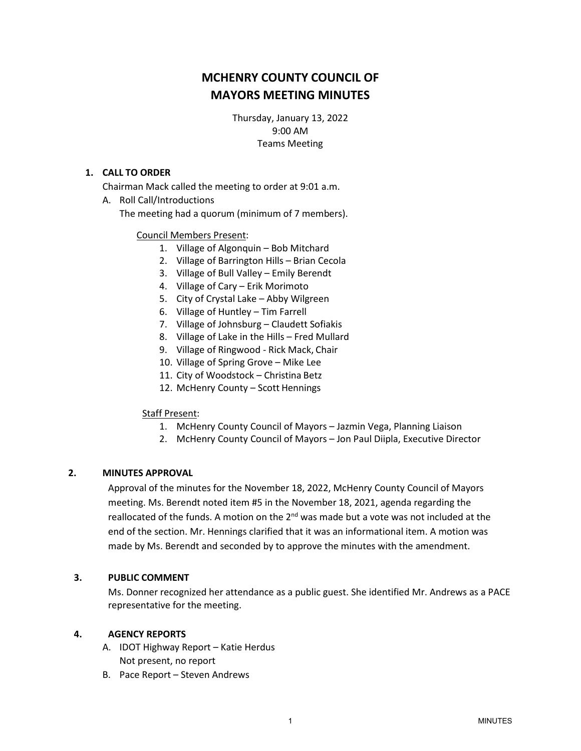# **MCHENRY COUNTY COUNCIL OF MAYORS MEETING MINUTES**

Thursday, January 13, 2022 9:00 AM Teams Meeting

## **1. CALL TO ORDER**

Chairman Mack called the meeting to order at 9:01 a.m.

A. Roll Call/Introductions

The meeting had a quorum (minimum of 7 members).

### Council Members Present:

- 1. Village of Algonquin Bob Mitchard
- 2. Village of Barrington Hills Brian Cecola
- 3. Village of Bull Valley Emily Berendt
- 4. Village of Cary Erik Morimoto
- 5. City of Crystal Lake Abby Wilgreen
- 6. Village of Huntley Tim Farrell
- 7. Village of Johnsburg Claudett Sofiakis
- 8. Village of Lake in the Hills Fred Mullard
- 9. Village of Ringwood Rick Mack, Chair
- 10. Village of Spring Grove Mike Lee
- 11. City of Woodstock Christina Betz
- 12. McHenry County Scott Hennings

### Staff Present:

- 1. McHenry County Council of Mayors Jazmin Vega, Planning Liaison
- 2. McHenry County Council of Mayors Jon Paul Diipla, Executive Director

### **2. MINUTES APPROVAL**

Approval of the minutes for the November 18, 2022, McHenry County Council of Mayors meeting. Ms. Berendt noted item #5 in the November 18, 2021, agenda regarding the reallocated of the funds. A motion on the  $2^{nd}$  was made but a vote was not included at the end of the section. Mr. Hennings clarified that it was an informational item. A motion was made by Ms. Berendt and seconded by to approve the minutes with the amendment.

### **3. PUBLIC COMMENT**

Ms. Donner recognized her attendance as a public guest. She identified Mr. Andrews as a PACE representative for the meeting.

### **4. AGENCY REPORTS**

- A. IDOT Highway Report Katie Herdus Not present, no report
- B. Pace Report Steven Andrews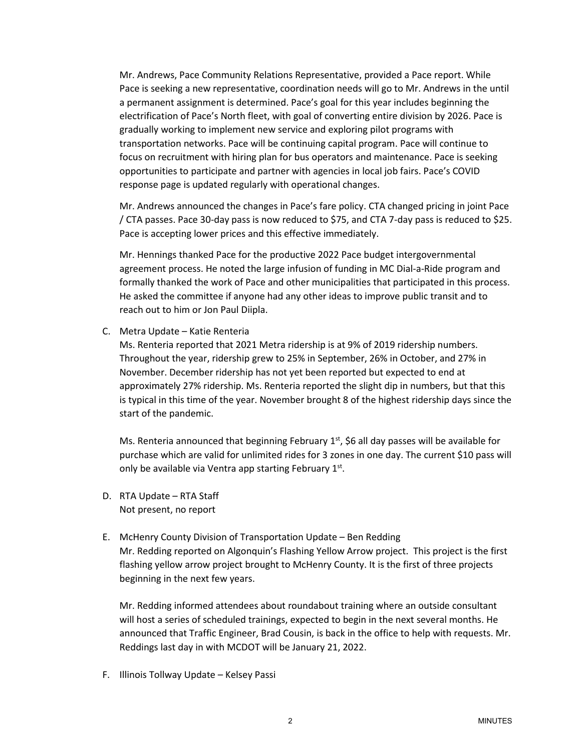Mr. Andrews, Pace Community Relations Representative, provided a Pace report. While Pace is seeking a new representative, coordination needs will go to Mr. Andrews in the until a permanent assignment is determined. Pace's goal for this year includes beginning the electrification of Pace's North fleet, with goal of converting entire division by 2026. Pace is gradually working to implement new service and exploring pilot programs with transportation networks. Pace will be continuing capital program. Pace will continue to focus on recruitment with hiring plan for bus operators and maintenance. Pace is seeking opportunities to participate and partner with agencies in local job fairs. Pace's COVID response page is updated regularly with operational changes.

Mr. Andrews announced the changes in Pace's fare policy. CTA changed pricing in joint Pace / CTA passes. Pace 30-day pass is now reduced to \$75, and CTA 7-day pass is reduced to \$25. Pace is accepting lower prices and this effective immediately.

Mr. Hennings thanked Pace for the productive 2022 Pace budget intergovernmental agreement process. He noted the large infusion of funding in MC Dial-a-Ride program and formally thanked the work of Pace and other municipalities that participated in this process. He asked the committee if anyone had any other ideas to improve public transit and to reach out to him or Jon Paul Diipla.

C. Metra Update – Katie Renteria

Ms. Renteria reported that 2021 Metra ridership is at 9% of 2019 ridership numbers. Throughout the year, ridership grew to 25% in September, 26% in October, and 27% in November. December ridership has not yet been reported but expected to end at approximately 27% ridership. Ms. Renteria reported the slight dip in numbers, but that this is typical in this time of the year. November brought 8 of the highest ridership days since the start of the pandemic.

Ms. Renteria announced that beginning February  $1<sup>st</sup>$ , \$6 all day passes will be available for purchase which are valid for unlimited rides for 3 zones in one day. The current \$10 pass will only be available via Ventra app starting February 1st.

- D. RTA Update RTA Staff Not present, no report
- E. McHenry County Division of Transportation Update Ben Redding Mr. Redding reported on Algonquin's Flashing Yellow Arrow project. This project is the first flashing yellow arrow project brought to McHenry County. It is the first of three projects beginning in the next few years.

Mr. Redding informed attendees about roundabout training where an outside consultant will host a series of scheduled trainings, expected to begin in the next several months. He announced that Traffic Engineer, Brad Cousin, is back in the office to help with requests. Mr. Reddings last day in with MCDOT will be January 21, 2022.

F. Illinois Tollway Update – Kelsey Passi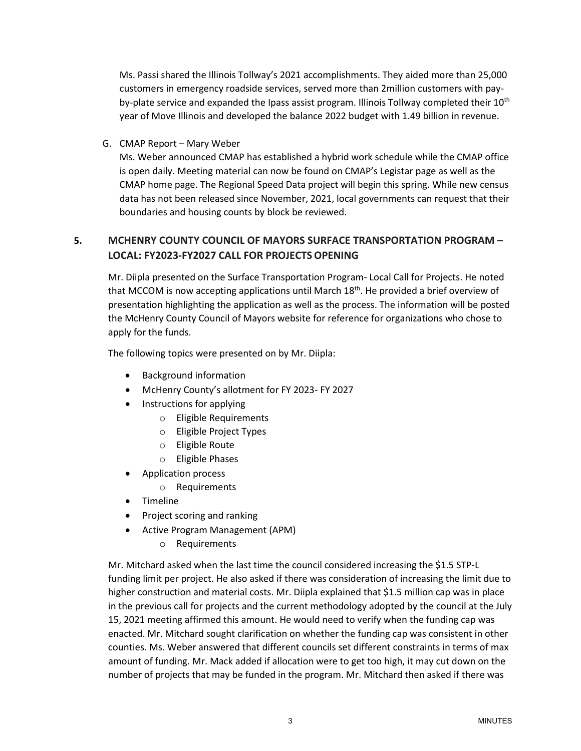Ms. Passi shared the Illinois Tollway's 2021 accomplishments. They aided more than 25,000 customers in emergency roadside services, served more than 2million customers with payby-plate service and expanded the Ipass assist program. Illinois Tollway completed their  $10<sup>th</sup>$ year of Move Illinois and developed the balance 2022 budget with 1.49 billion in revenue.

G. CMAP Report – Mary Weber

Ms. Weber announced CMAP has established a hybrid work schedule while the CMAP office is open daily. Meeting material can now be found on CMAP's Legistar page as well as the CMAP home page. The Regional Speed Data project will begin this spring. While new census data has not been released since November, 2021, local governments can request that their boundaries and housing counts by block be reviewed.

# **5. MCHENRY COUNTY COUNCIL OF MAYORS SURFACE TRANSPORTATION PROGRAM – LOCAL: FY2023-FY2027 CALL FOR PROJECTSOPENING**

Mr. Diipla presented on the Surface Transportation Program- Local Call for Projects. He noted that MCCOM is now accepting applications until March  $18<sup>th</sup>$ . He provided a brief overview of presentation highlighting the application as well as the process. The information will be posted the McHenry County Council of Mayors website for reference for organizations who chose to apply for the funds.

The following topics were presented on by Mr. Diipla:

- Background information
- McHenry County's allotment for FY 2023- FY 2027
- Instructions for applying
	- o Eligible Requirements
	- o Eligible Project Types
	- o Eligible Route
	- o Eligible Phases
- Application process
	- o Requirements
- Timeline
- Project scoring and ranking
- Active Program Management (APM)
	- o Requirements

Mr. Mitchard asked when the last time the council considered increasing the \$1.5 STP-L funding limit per project. He also asked if there was consideration of increasing the limit due to higher construction and material costs. Mr. Diipla explained that \$1.5 million cap was in place in the previous call for projects and the current methodology adopted by the council at the July 15, 2021 meeting affirmed this amount. He would need to verify when the funding cap was enacted. Mr. Mitchard sought clarification on whether the funding cap was consistent in other counties. Ms. Weber answered that different councils set different constraints in terms of max amount of funding. Mr. Mack added if allocation were to get too high, it may cut down on the number of projects that may be funded in the program. Mr. Mitchard then asked if there was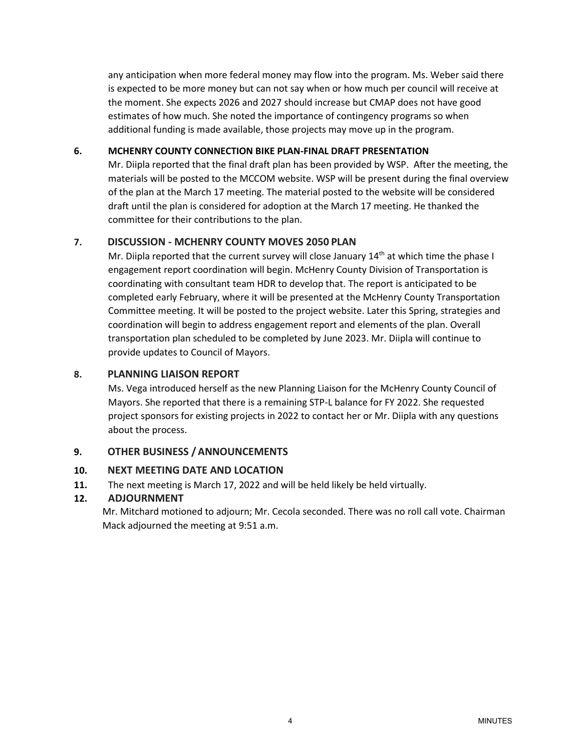any anticipation when more federal money may flow into the program. Ms. Weber said there is expected to be more money but can not say when or how much per council will receive at the moment. She expects 2026 and 2027 should increase but CMAP does not have good estimates of how much. She noted the importance of contingency programs so when additional funding is made available, those projects may move up in the program.

## **6. MCHENRY COUNTY CONNECTION BIKE PLAN-FINAL DRAFT PRESENTATION**

Mr. Diipla reported that the final draft plan has been provided by WSP. After the meeting, the materials will be posted to the MCCOM website. WSP will be present during the final overview of the plan at the March 17 meeting. The material posted to the website will be considered draft until the plan is considered for adoption at the March 17 meeting. He thanked the committee for their contributions to the plan.

# **7. DISCUSSION - MCHENRY COUNTY MOVES 2050 PLAN**

Mr. Diipla reported that the current survey will close January  $14<sup>th</sup>$  at which time the phase I engagement report coordination will begin. McHenry County Division of Transportation is coordinating with consultant team HDR to develop that. The report is anticipated to be completed early February, where it will be presented at the McHenry County Transportation Committee meeting. It will be posted to the project website. Later this Spring, strategies and coordination will begin to address engagement report and elements of the plan. Overall transportation plan scheduled to be completed by June 2023. Mr. Diipla will continue to provide updates to Council of Mayors.

## **8. PLANNING LIAISON REPORT**

Ms. Vega introduced herself as the new Planning Liaison for the McHenry County Council of Mayors. She reported that there is a remaining STP-L balance for FY 2022. She requested project sponsors for existing projects in 2022 to contact her or Mr. Diipla with any questions about the process.

# **9. OTHER BUSINESS /ANNOUNCEMENTS**

## **10. NEXT MEETING DATE AND LOCATION**

**11.** The next meeting is March 17, 2022 and will be held likely be held virtually.

# **12. ADJOURNMENT**

Mr. Mitchard motioned to adjourn; Mr. Cecola seconded. There was no roll call vote. Chairman Mack adjourned the meeting at 9:51 a.m.